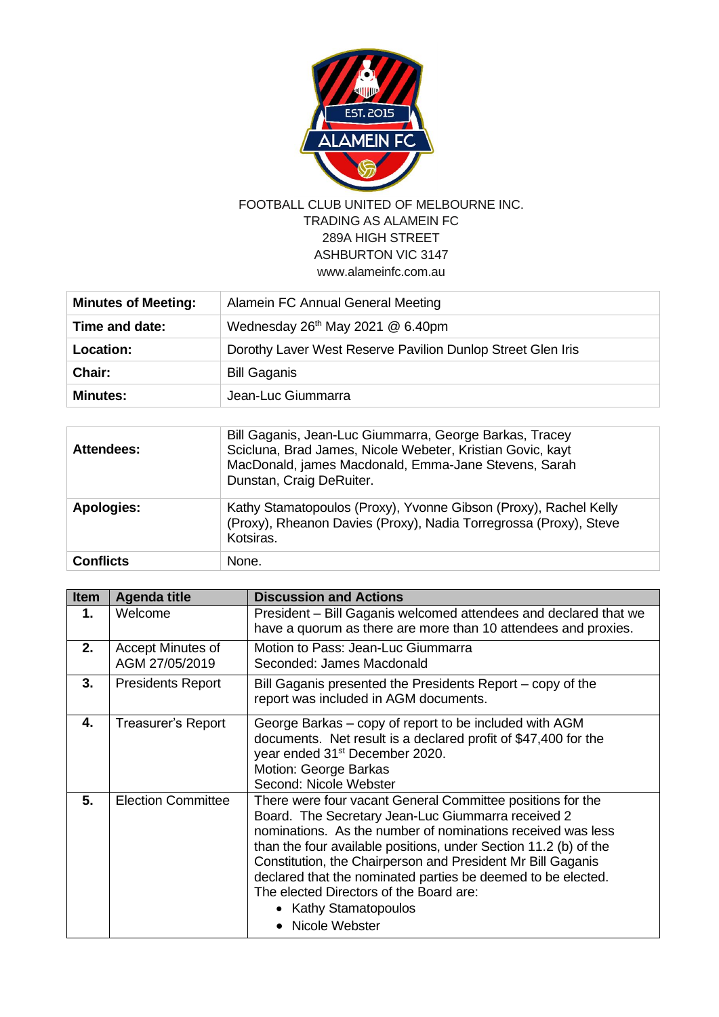

## FOOTBALL CLUB UNITED OF MELBOURNE INC. TRADING AS ALAMEIN FC 289A HIGH STREET ASHBURTON VIC 3147 [www.alameinfc.com.au](http://www.alameinfc.com.au/)

| <b>Minutes of Meeting:</b> | Alamein FC Annual General Meeting                           |
|----------------------------|-------------------------------------------------------------|
| Time and date:             | Wednesday 26 <sup>th</sup> May 2021 @ 6.40pm                |
| <b>Location:</b>           | Dorothy Laver West Reserve Pavilion Dunlop Street Glen Iris |
| Chair:                     | <b>Bill Gaganis</b>                                         |
| <b>Minutes:</b>            | Jean-Luc Giummarra                                          |

| Attendees:        | Bill Gaganis, Jean-Luc Giummarra, George Barkas, Tracey<br>Scicluna, Brad James, Nicole Webeter, Kristian Govic, kayt<br>MacDonald, james Macdonald, Emma-Jane Stevens, Sarah<br>Dunstan, Craig DeRuiter. |
|-------------------|-----------------------------------------------------------------------------------------------------------------------------------------------------------------------------------------------------------|
| <b>Apologies:</b> | Kathy Stamatopoulos (Proxy), Yvonne Gibson (Proxy), Rachel Kelly<br>(Proxy), Rheanon Davies (Proxy), Nadia Torregrossa (Proxy), Steve<br>Kotsiras.                                                        |
| <b>Conflicts</b>  | None.                                                                                                                                                                                                     |

| <b>Item</b> | <b>Agenda title</b>                 | <b>Discussion and Actions</b>                                                                                                                                                                                                                                                                                                                                                                                                                                              |
|-------------|-------------------------------------|----------------------------------------------------------------------------------------------------------------------------------------------------------------------------------------------------------------------------------------------------------------------------------------------------------------------------------------------------------------------------------------------------------------------------------------------------------------------------|
| 1.          | Welcome                             | President - Bill Gaganis welcomed attendees and declared that we<br>have a quorum as there are more than 10 attendees and proxies.                                                                                                                                                                                                                                                                                                                                         |
| 2.          | Accept Minutes of<br>AGM 27/05/2019 | Motion to Pass: Jean-Luc Giummarra<br>Seconded: James Macdonald                                                                                                                                                                                                                                                                                                                                                                                                            |
| 3.          | <b>Presidents Report</b>            | Bill Gaganis presented the Presidents Report – copy of the<br>report was included in AGM documents.                                                                                                                                                                                                                                                                                                                                                                        |
| 4.          | <b>Treasurer's Report</b>           | George Barkas – copy of report to be included with AGM<br>documents. Net result is a declared profit of \$47,400 for the<br>year ended 31 <sup>st</sup> December 2020.<br>Motion: George Barkas<br>Second: Nicole Webster                                                                                                                                                                                                                                                  |
| 5.          | <b>Election Committee</b>           | There were four vacant General Committee positions for the<br>Board. The Secretary Jean-Luc Giummarra received 2<br>nominations. As the number of nominations received was less<br>than the four available positions, under Section 11.2 (b) of the<br>Constitution, the Chairperson and President Mr Bill Gaganis<br>declared that the nominated parties be deemed to be elected.<br>The elected Directors of the Board are:<br>• Kathy Stamatopoulos<br>• Nicole Webster |